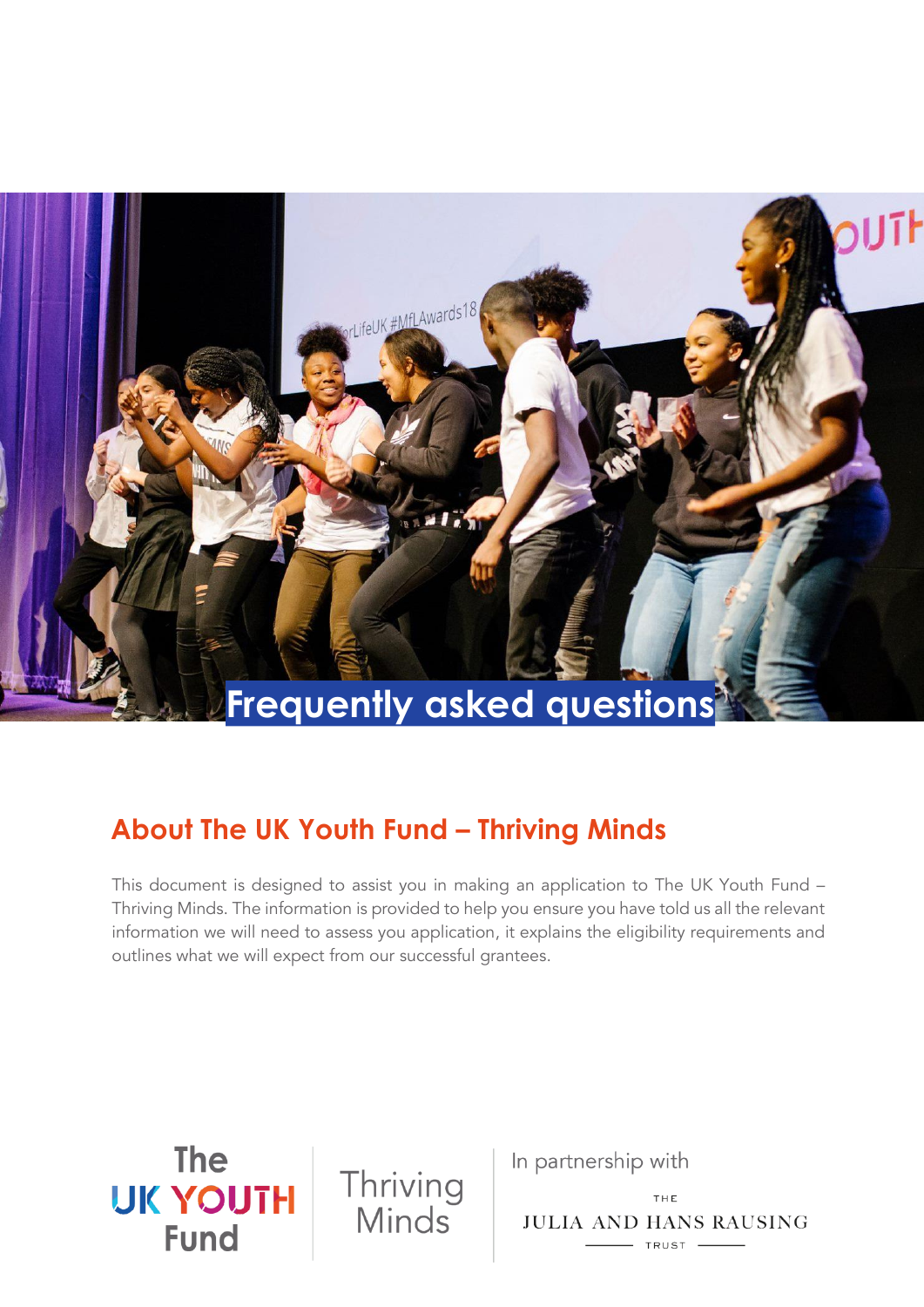

# **About The UK Youth Fund – Thriving Minds**

This document is designed to assist you in making an application to The UK Youth Fund – Thriving Minds. The information is provided to help you ensure you have told us all the relevant information we will need to assess you application, it explains the eligibility requirements and outlines what we will expect from our successful grantees.

**The UK YOUTH Fund** 

Thriving<br>Minds

In partnership with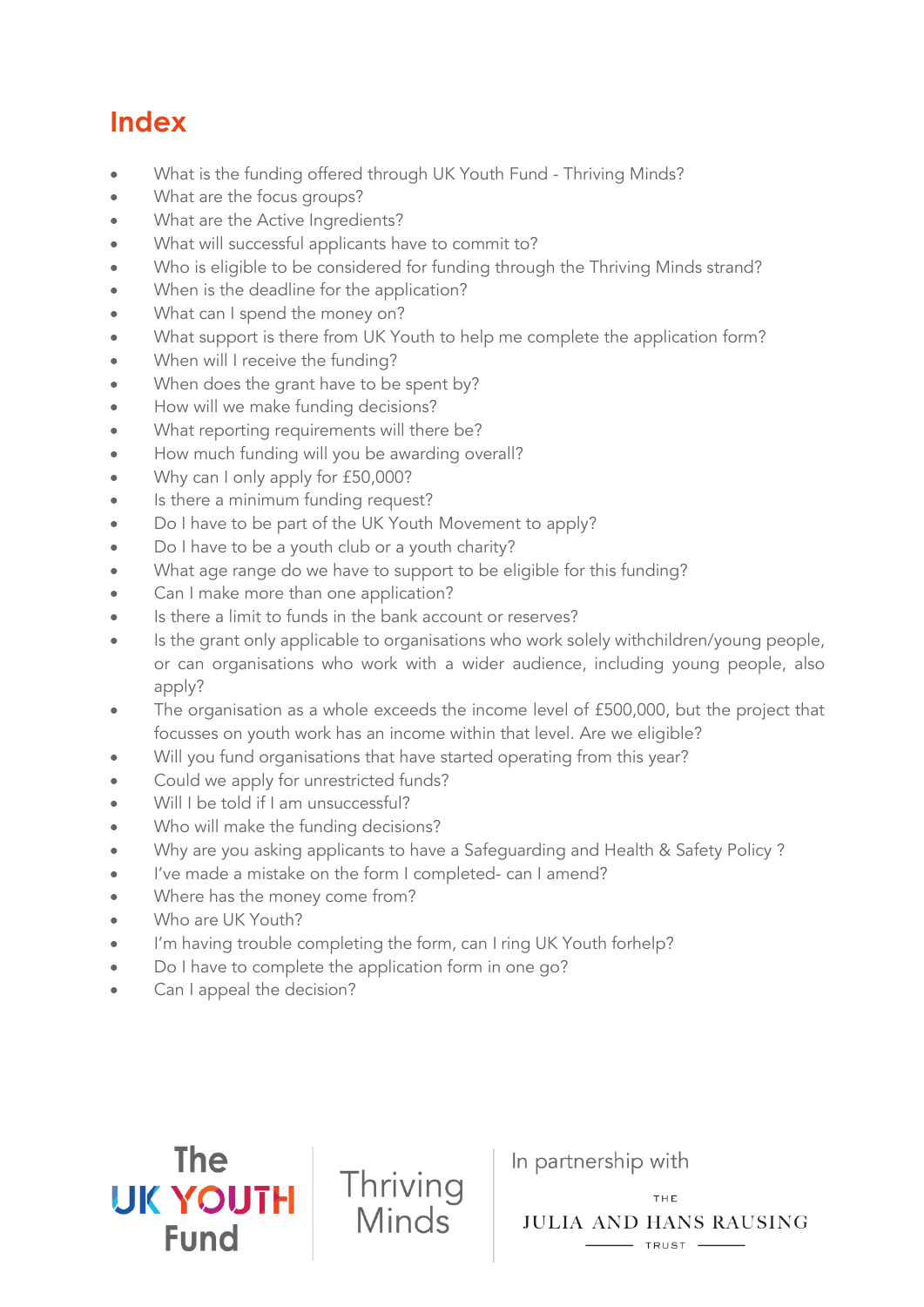# **Index**

- [What is the funding offered through UK Youth Fund -](#page-2-0) Thriving Minds?
- [What are the focus groups?](#page-2-1)
- [What are the Active Ingredients?](#page-2-2)
- [What will successful applicants have to commit to?](#page-3-0)
- [Who is eligible to be considered for funding through the Thriving Minds strand?](#page-4-0)
- [When is the deadline for the application?](#page-4-1)
- [What can I spend the money on?](#page-4-2)
- What [support is there from UK Youth to help me complete the application form?](#page-5-0)
- [When will I receive the funding?](#page-5-1)
- [When does the grant have to be spent by?](#page-6-0)
- [How will we make funding decisions?](#page-6-1)
- [What reporting requirements will there be?](#page-6-2)
- [How much funding will you be awarding overall?](#page-7-0)
- [Why can I only apply for £50,000?](#page-7-1)
- [Is there a minimum funding request?](#page-7-2)
- Do I have to be part of the UK Youth [Movement](#page-7-3) to apply?
- [Do I have to be a youth club or a youth charity?](#page-8-0)
- [What age range do we have to support to be eligible for this funding?](#page-8-1)
- [Can I make more than one application?](#page-8-2)
- [Is there a limit to funds in the bank account or reserves?](#page-8-3)
- [Is the grant only applicable to organisations who work solely withchildren/young people,](#page-8-4)  [or can organisations who work with a](#page-8-4) wider audience, including young people, also [apply?](#page-8-4)
- The organisation as a whole exceeds the income level of £500,000, but the project that [focusses on youth work has an income within that level. Are we eligible?](#page-8-5)
- [Will you fund organisations that have started operating from this year?](#page-9-0)
- [Could we apply for unrestricted funds?](#page-9-1)
- [Will I be told if I am unsuccessful?](#page-9-2)
- [Who will make the funding decisions?](#page-9-3)
- [Why are you asking applicants to have a Safeguarding and Health & Safety Policy ?](#page-9-4)
- I've made a mi[stake on the form I completed-](#page-9-5) can I amend?
- [Where has the money come from?](#page-10-0)
- Who are [UK Youth?](#page-10-1)

**The** 

**UK YOUTH** 

**Fund** 

• I'm having trouble [completing](#page-10-2) the form, can I ring UK Youth forhelp?

Thriving

Minds

- [Do I have to complete the application form in one go?](#page-10-3)
- [Can I appeal the decision?](#page-11-0)

In partnership with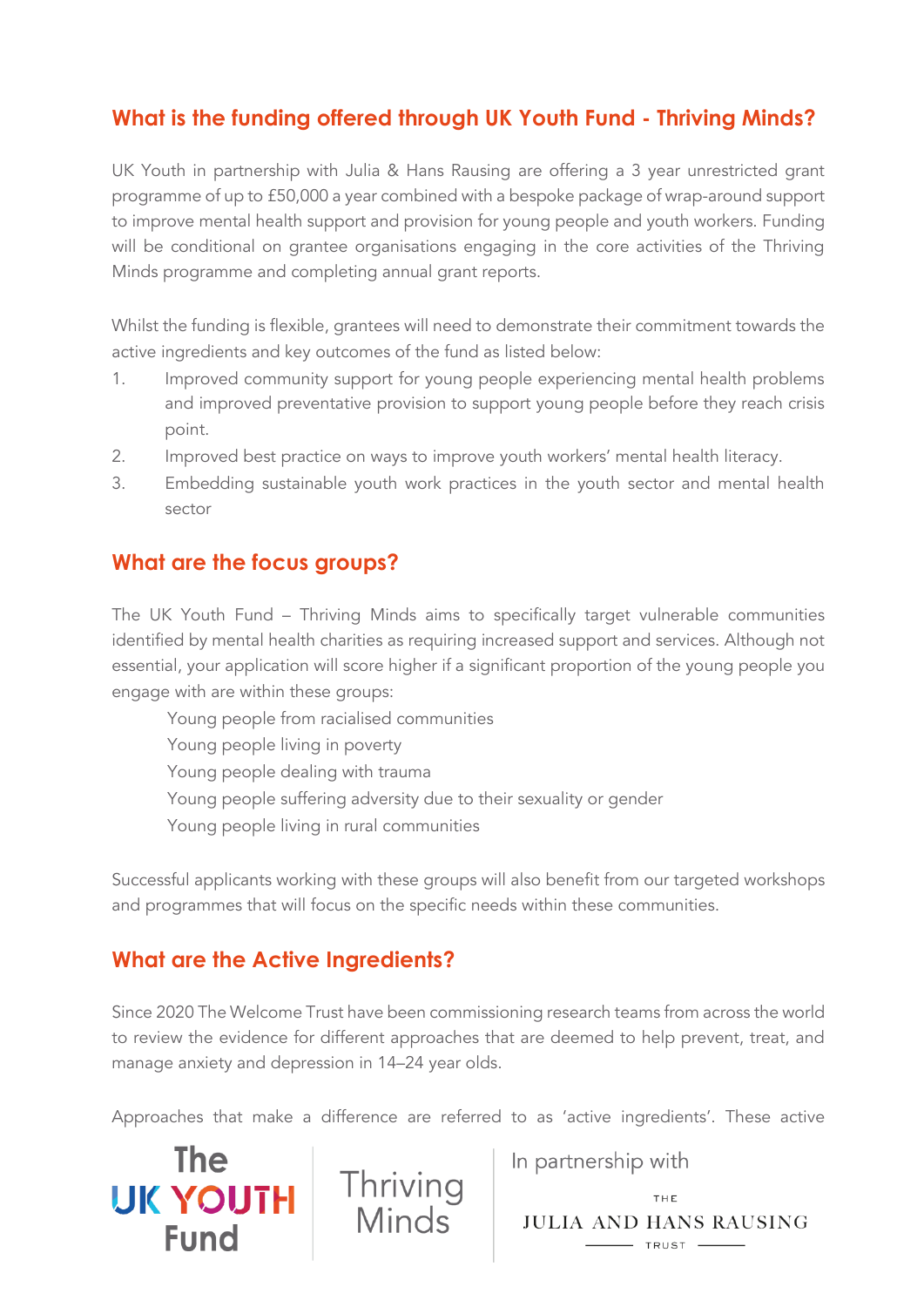# <span id="page-2-0"></span>**What is the funding offered through UK Youth Fund - Thriving Minds?**

UK Youth in partnership with Julia & Hans Rausing are offering a 3 year unrestricted grant programme of up to £50,000 a year combined with a bespoke package of wrap-around support to improve mental health support and provision for young people and youth workers. Funding will be conditional on grantee organisations engaging in the core activities of the Thriving Minds programme and completing annual grant reports.

Whilst the funding is flexible, grantees will need to demonstrate their commitment towards the active ingredients and key outcomes of the fund as listed below:

- 1. Improved community support for young people experiencing mental health problems and improved preventative provision to support young people before they reach crisis point.
- 2. Improved best practice on ways to improve youth workers' mental health literacy.
- 3. Embedding sustainable youth work practices in the youth sector and mental health sector

## <span id="page-2-1"></span>**What are the focus groups?**

The UK Youth Fund – Thriving Minds aims to specifically target vulnerable communities identified by mental health charities as requiring increased support and services. Although not essential, your application will score higher if a significant proportion of the young people you engage with are within these groups:

Young people from racialised communities

Young people living in poverty

Young people dealing with trauma

Young people suffering adversity due to their sexuality or gender

Young people living in rural communities

Successful applicants working with these groups will also benefit from our targeted workshops and programmes that will focus on the specific needs within these communities.

## <span id="page-2-2"></span>**What are the Active Ingredients?**

**The** 

**Fund** 

Since 2020 The Welcome Trust have been commissioning research teams from across the world to review the evidence for different approaches that are deemed to help prevent, treat, and manage anxiety and depression in 14–24 year olds.

Approaches that make a difference are referred to as 'active ingredients'. These active

In partnership with

UK YOUTH Thriving<br>
Minds JULIA AND HANS RAUSING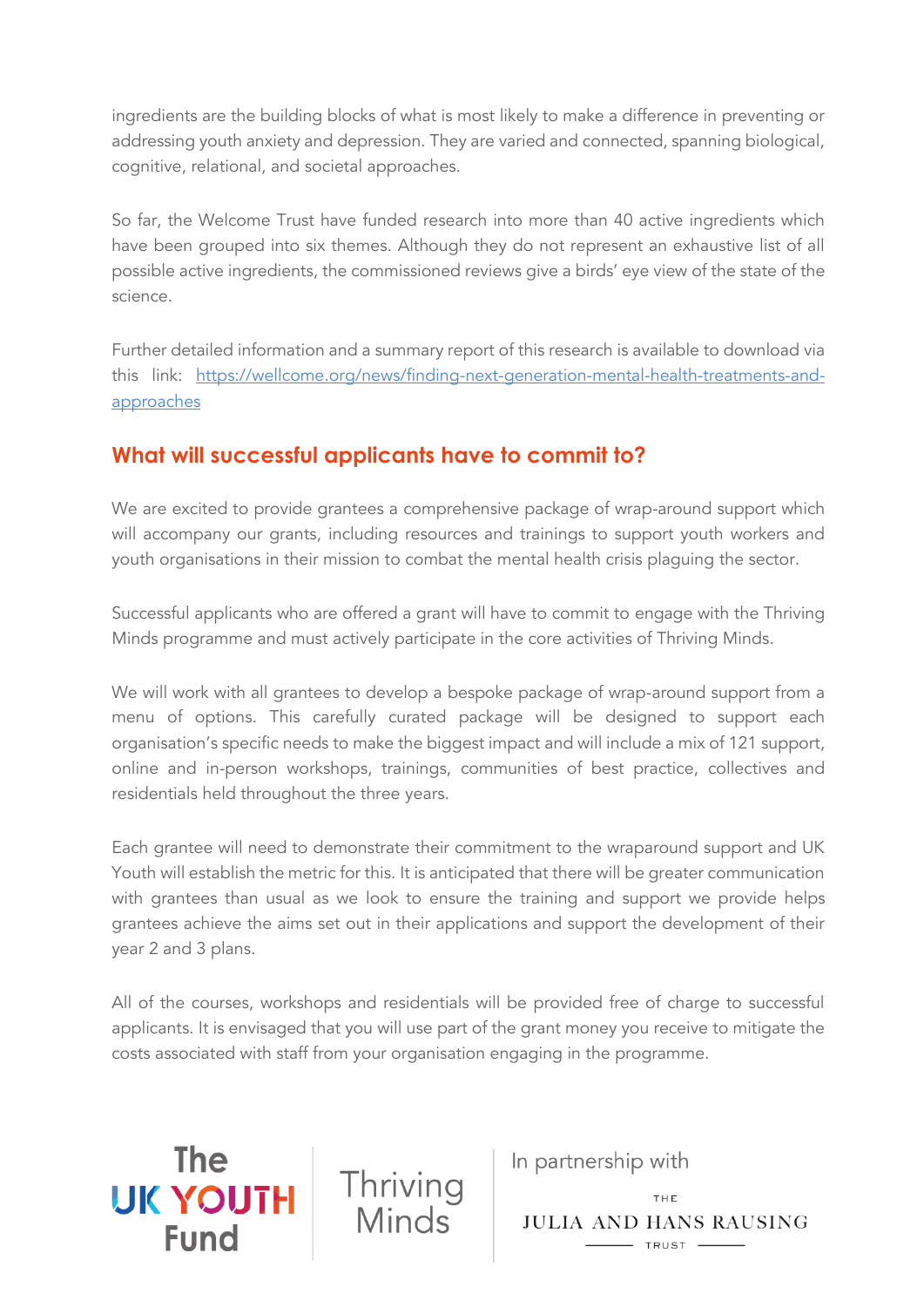ingredients are the building blocks of what is most likely to make a difference in preventing or addressing youth anxiety and depression. They are varied and connected, spanning biological, cognitive, relational, and societal approaches.

So far, the Welcome Trust have funded research into more than 40 active ingredients which have been grouped into six themes. Although they do not represent an exhaustive list of all possible active ingredients, the commissioned reviews give a birds' eye view of the state of the science.

Further detailed information and a summary report of this research is available to download via this link: [https://wellcome.org/news/finding-next-generation-mental-health-treatments-and](https://wellcome.org/news/finding-next-generation-mental-health-treatments-and-approaches)[approaches](https://wellcome.org/news/finding-next-generation-mental-health-treatments-and-approaches)

# <span id="page-3-0"></span>**What will successful applicants have to commit to?**

We are excited to provide grantees a comprehensive package of wrap-around support which will accompany our grants, including resources and trainings to support youth workers and youth organisations in their mission to combat the mental health crisis plaguing the sector.

Successful applicants who are offered a grant will have to commit to engage with the Thriving Minds programme and must actively participate in the core activities of Thriving Minds.

We will work with all grantees to develop a bespoke package of wrap-around support from a menu of options. This carefully curated package will be designed to support each organisation's specific needs to make the biggest impact and will include a mix of 121 support, online and in-person workshops, trainings, communities of best practice, collectives and residentials held throughout the three years.

Each grantee will need to demonstrate their commitment to the wraparound support and UK Youth will establish the metric for this. It is anticipated that there will be greater communication with grantees than usual as we look to ensure the training and support we provide helps grantees achieve the aims set out in their applications and support the development of their year 2 and 3 plans.

All of the courses, workshops and residentials will be provided free of charge to successful applicants. It is envisaged that you will use part of the grant money you receive to mitigate the costs associated with staff from your organisation engaging in the programme.

Thriving<br>Minds

**The** 

**UK YOUTH** 

**Fund** 

In partnership with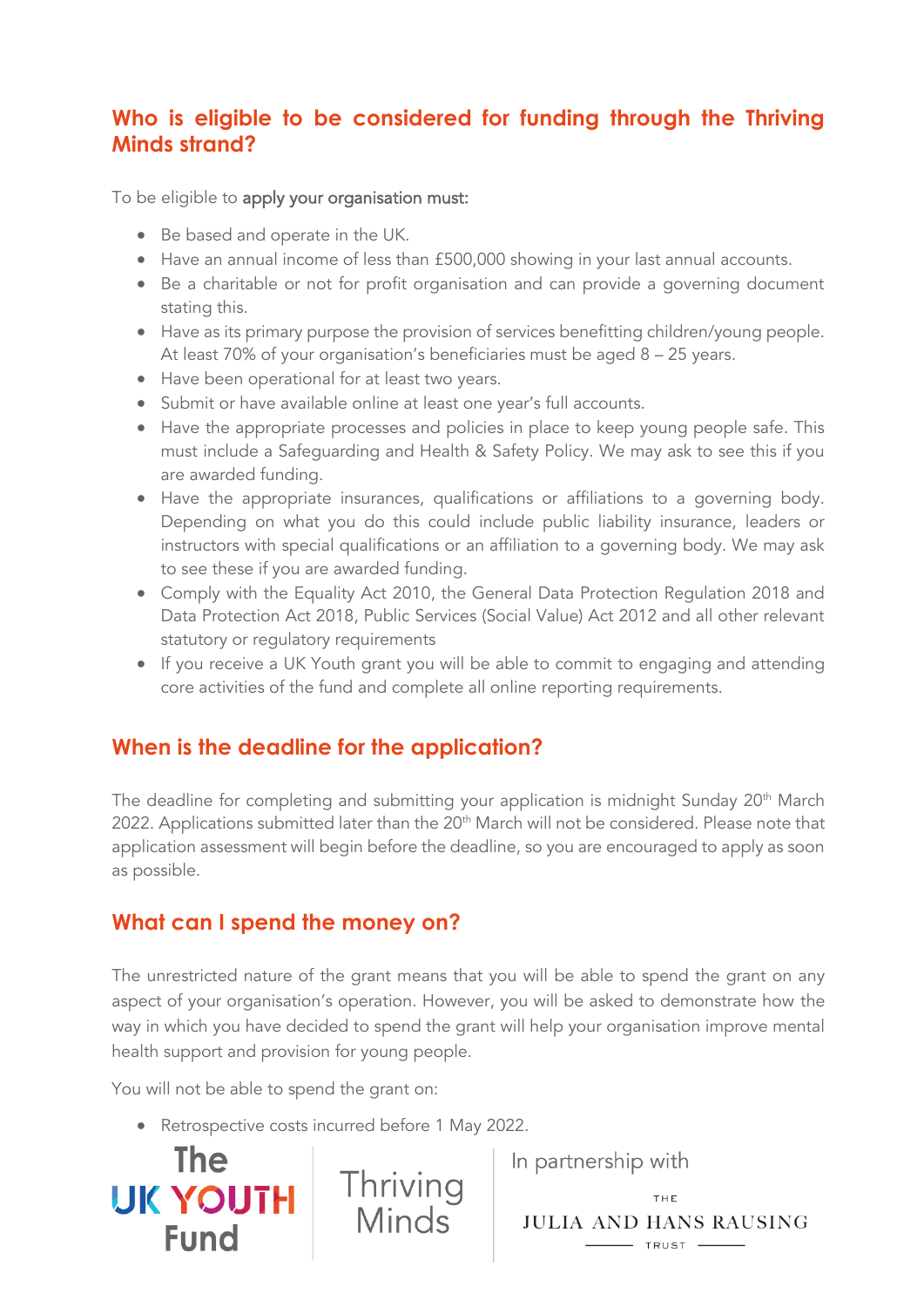## <span id="page-4-0"></span>**Who is eligible to be considered for funding through the Thriving Minds strand?**

To be eligible to apply your organisation must:

- Be based and operate in the UK.
- Have an annual income of less than £500,000 showing in your last annual accounts.
- Be a charitable or not for profit organisation and can provide a governing document stating this.
- Have as its primary purpose the provision of services benefitting children/young people. At least 70% of your organisation's beneficiaries must be aged 8 – 25 years.
- Have been operational for at least two years.
- Submit or have available online at least one year's full accounts.
- Have the appropriate processes and policies in place to keep young people safe. This must include a Safeguarding and Health & Safety Policy. We may ask to see this if you are awarded funding.
- Have the appropriate insurances, qualifications or affiliations to a governing body. Depending on what you do this could include public liability insurance, leaders or instructors with special qualifications or an affiliation to a governing body. We may ask to see these if you are awarded funding.
- Comply with the Equality Act 2010, the General Data Protection Regulation 2018 and Data Protection Act 2018, Public Services (Social Value) Act 2012 and all other relevant statutory or regulatory requirements
- If you receive a UK Youth grant you will be able to commit to engaging and attending core activities of the fund and complete all online reporting requirements.

## <span id="page-4-1"></span>**When is the deadline for the application?**

The deadline for completing and submitting your application is midnight Sunday 20 $^{\rm th}$  March 2022. Applications submitted later than the 20<sup>th</sup> March will not be considered. Please note that application assessment will begin before the deadline, so you are encouraged to apply as soon as possible.

#### <span id="page-4-2"></span>**What can I spend the money on?**

The unrestricted nature of the grant means that you will be able to spend the grant on any aspect of your organisation's operation. However, you will be asked to demonstrate how the way in which you have decided to spend the grant will help your organisation improve mental health support and provision for young people.

You will not be able to spend the grant on:

**The** 

**Fund** 

• Retrospective costs incurred before 1 May 2022.

**UK YOUTH** Thriving<br>Eund Minds

In partnership with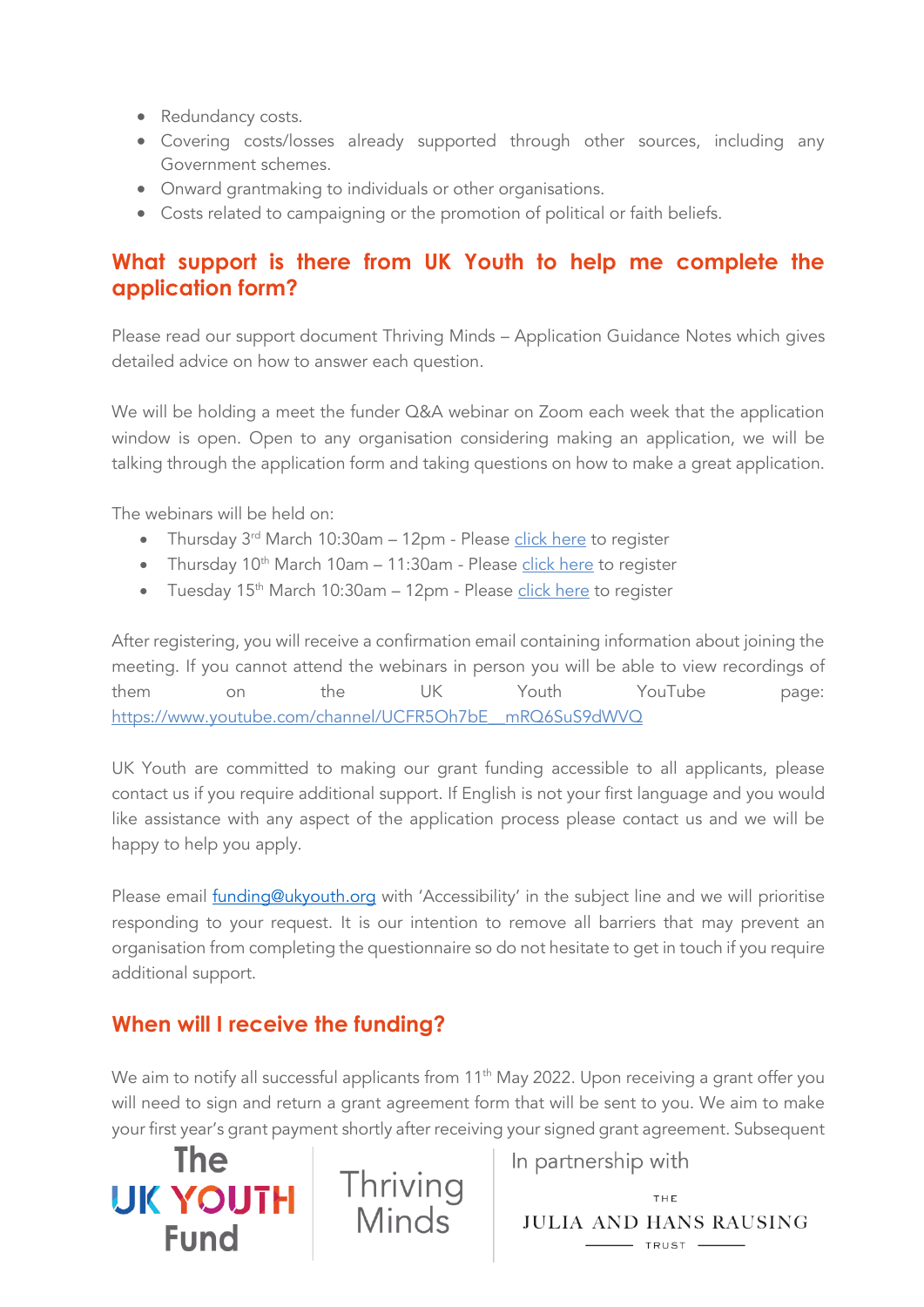- Redundancy costs.
- Covering costs/losses already supported through other sources, including any Government schemes.
- Onward grantmaking to individuals or other organisations.
- Costs related to campaigning or the promotion of political or faith beliefs.

## <span id="page-5-0"></span>**What support is there from UK Youth to help me complete the application form?**

Please read our support document Thriving Minds – Application Guidance Notes which gives detailed advice on how to answer each question.

We will be holding a meet the funder Q&A webinar on Zoom each week that the application window is open. Open to any organisation considering making an application, we will be talking through the application form and taking questions on how to make a great application.

The webinars will be held on:

- Thursday 3<sup>rd</sup> March 10:30am 12pm Please [click here](https://www.eventbrite.co.uk/e/272055444157) to register
- Thursday  $10^{th}$  March  $10$ am  $11:30$ am Please [click here](https://www.eventbrite.co.uk/e/uk-youth-fund-thriving-minds-meet-the-funder-application-webinar-tickets-272081110927) to register
- Tuesday 15<sup>th</sup> March 10:30am 12pm Please [click here](https://www.eventbrite.co.uk/e/uk-youth-fund-thriving-minds-meet-the-funder-application-webinar-tickets-272063548397) to register

After registering, you will receive a confirmation email containing information about joining the meeting. If you cannot attend the webinars in person you will be able to view recordings of them on the UK Youth YouTube page: [https://www.youtube.com/channel/UCFR5Oh7bE\\_\\_mRQ6SuS9dWVQ](https://www.youtube.com/channel/UCFR5Oh7bE__mRQ6SuS9dWVQ)

UK Youth are committed to making our grant funding accessible to all applicants, please contact us if you require additional support. If English is not your first language and you would like assistance with any aspect of the application process please contact us and we will be happy to help you apply.

Please email **funding@ukyouth.org** with 'Accessibility' in the subject line and we will prioritise responding to your request. It is our intention to remove all barriers that may prevent an organisation from completing the questionnaire so do not hesitate to get in touch if you require additional support.

# <span id="page-5-1"></span>**When will I receive the funding?**

We aim to notify all successful applicants from 11<sup>th</sup> May 2022. Upon receiving a grant offer you will need to sign and return a grant agreement form that will be sent to you. We aim to make your first year's grant payment shortly after receiving your signed grant agreement. Subsequent



In partnership with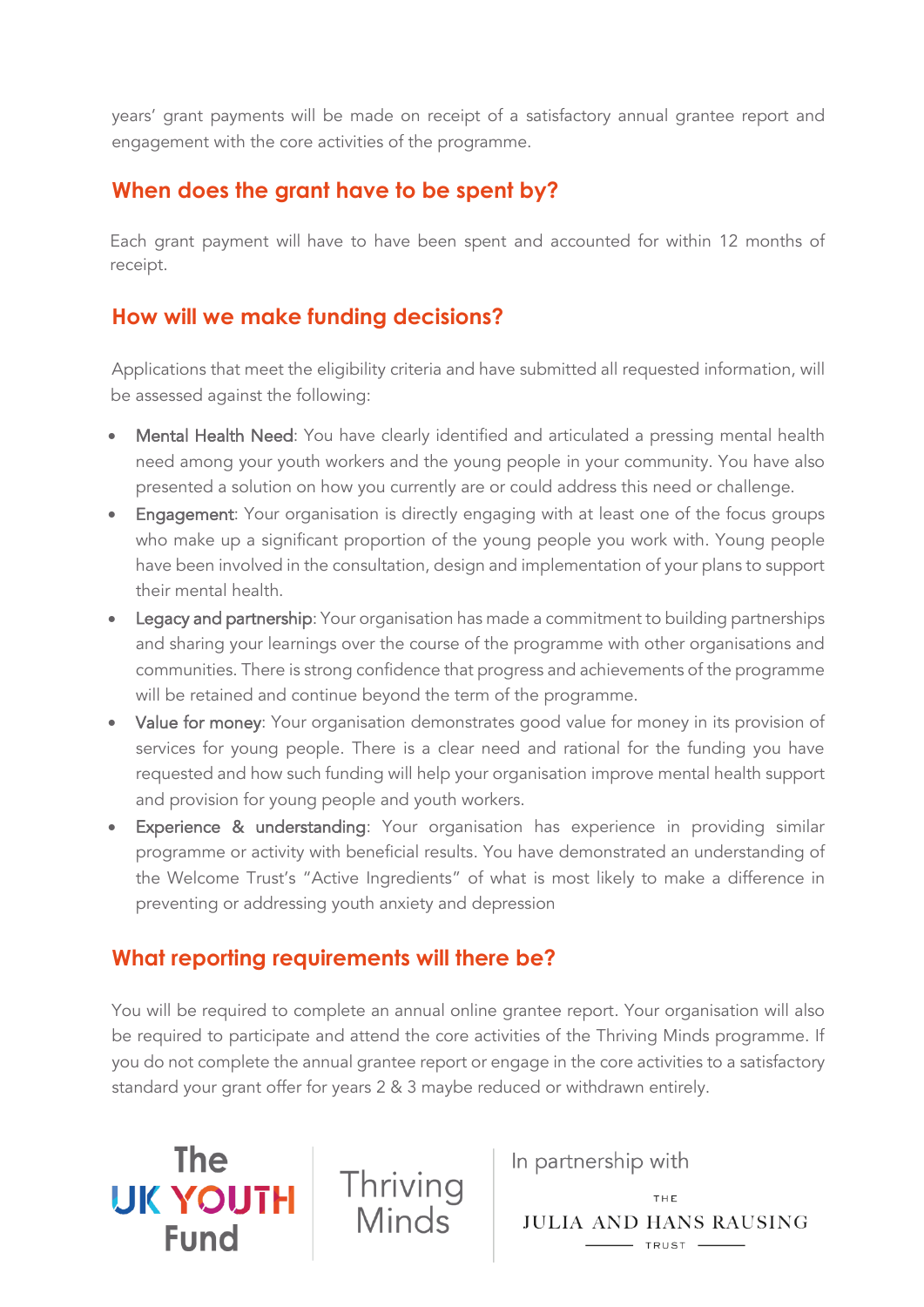years' grant payments will be made on receipt of a satisfactory annual grantee report and engagement with the core activities of the programme.

## <span id="page-6-0"></span>**When does the grant have to be spent by?**

Each grant payment will have to have been spent and accounted for within 12 months of receipt.

## <span id="page-6-1"></span>**How will we make funding decisions?**

Applications that meet the eligibility criteria and have submitted all requested information, will be assessed against the following:

- Mental Health Need: You have clearly identified and articulated a pressing mental health need among your youth workers and the young people in your community. You have also presented a solution on how you currently are or could address this need or challenge.
- Engagement: Your organisation is directly engaging with at least one of the focus groups who make up a significant proportion of the young people you work with. Young people have been involved in the consultation, design and implementation of your plans to support their mental health.
- Legacy and partnership: Your organisation has made a commitment to building partnerships and sharing your learnings over the course of the programme with other organisations and communities. There is strong confidence that progress and achievements of the programme will be retained and continue beyond the term of the programme.
- Value for money: Your organisation demonstrates good value for money in its provision of services for young people. There is a clear need and rational for the funding you have requested and how such funding will help your organisation improve mental health support and provision for young people and youth workers.
- Experience & understanding: Your organisation has experience in providing similar programme or activity with beneficial results. You have demonstrated an understanding of the Welcome Trust's "Active Ingredients" of what is most likely to make a difference in preventing or addressing youth anxiety and depression

# <span id="page-6-2"></span>**What reporting requirements will there be?**

**The** 

**UK YOUTH** 

**Fund** 

You will be required to complete an annual online grantee report. Your organisation will also be required to participate and attend the core activities of the Thriving Minds programme. If you do not complete the annual grantee report or engage in the core activities to a satisfactory standard your grant offer for years 2 & 3 maybe reduced or withdrawn entirely.

Thriving<br>Minds

In partnership with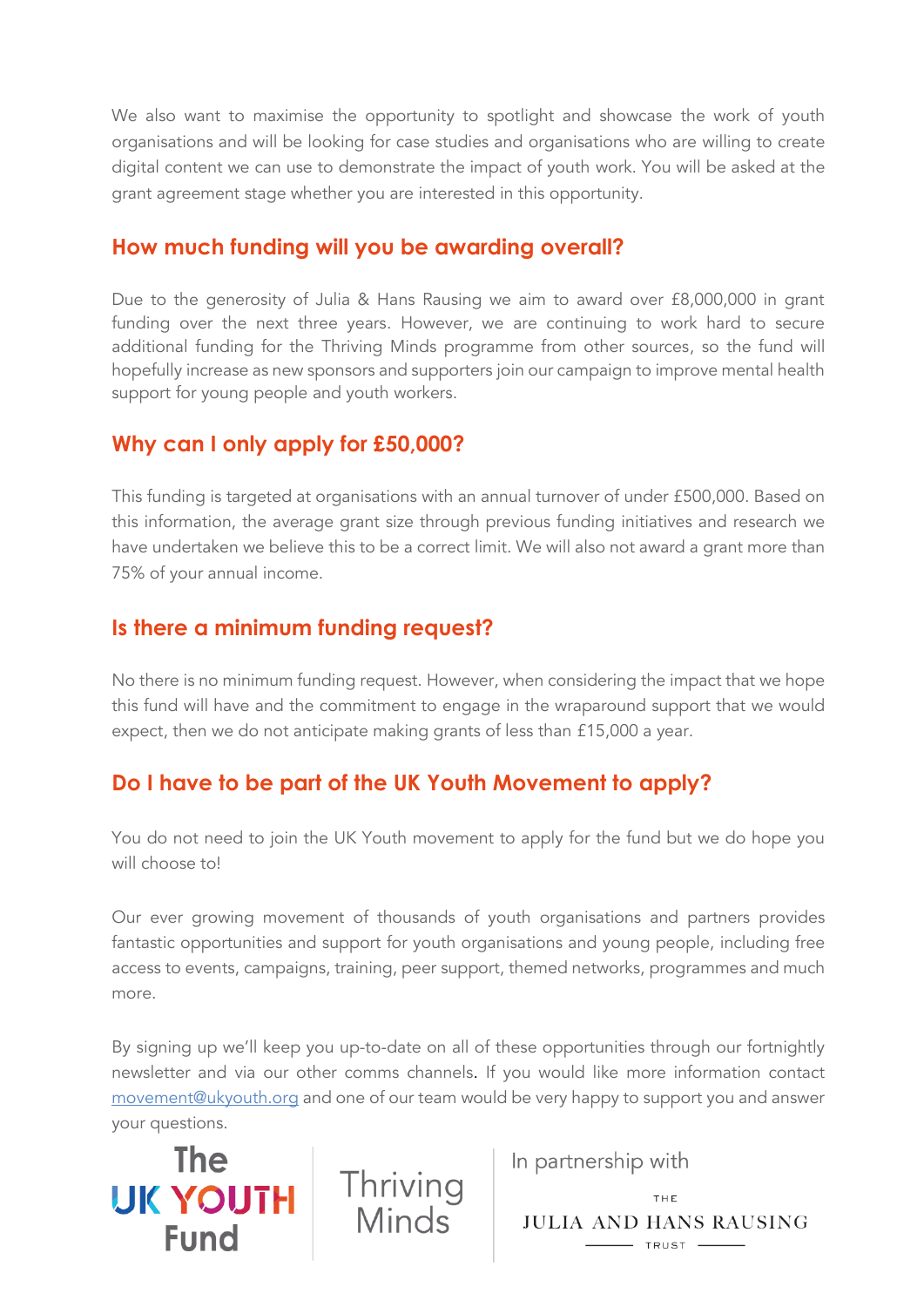We also want to maximise the opportunity to spotlight and showcase the work of youth organisations and will be looking for case studies and organisations who are willing to create digital content we can use to demonstrate the impact of youth work. You will be asked at the grant agreement stage whether you are interested in this opportunity.

#### <span id="page-7-0"></span>**How much funding will you be awarding overall?**

Due to the generosity of Julia & Hans Rausing we aim to award over £8,000,000 in grant funding over the next three years. However, we are continuing to work hard to secure additional funding for the Thriving Minds programme from other sources, so the fund will hopefully increase as new sponsors and supporters join our campaign to improve mental health support for young people and youth workers.

## <span id="page-7-1"></span>**Why can I only apply for £50,000?**

This funding is targeted at organisations with an annual turnover of under £500,000. Based on this information, the average grant size through previous funding initiatives and research we have undertaken we believe this to be a correct limit. We will also not award a grant more than 75% of your annual income.

#### <span id="page-7-2"></span>**Is there a minimum funding request?**

No there is no minimum funding request. However, when considering the impact that we hope this fund will have and the commitment to engage in the wraparound support that we would expect, then we do not anticipate making grants of less than £15,000 a year.

# <span id="page-7-3"></span>**Do I have to be part of the UK Youth Movement to apply?**

You do not need to join the UK Youth movement to apply for the fund but we do hope you will choose to!

Our ever growing movement of thousands of youth organisations and partners provides fantastic opportunities and support for youth organisations and young people, including free access to events, campaigns, training, peer support, themed networks, programmes and much more.

By signing up we'll keep you up-to-date on all of these opportunities through our fortnightly newsletter and via our other comms channels. If you would like more information contact [movement@ukyouth.org](mailto:movement@ukyouth.org) and one of our team would be very happy to support you and answer your questions.



In partnership with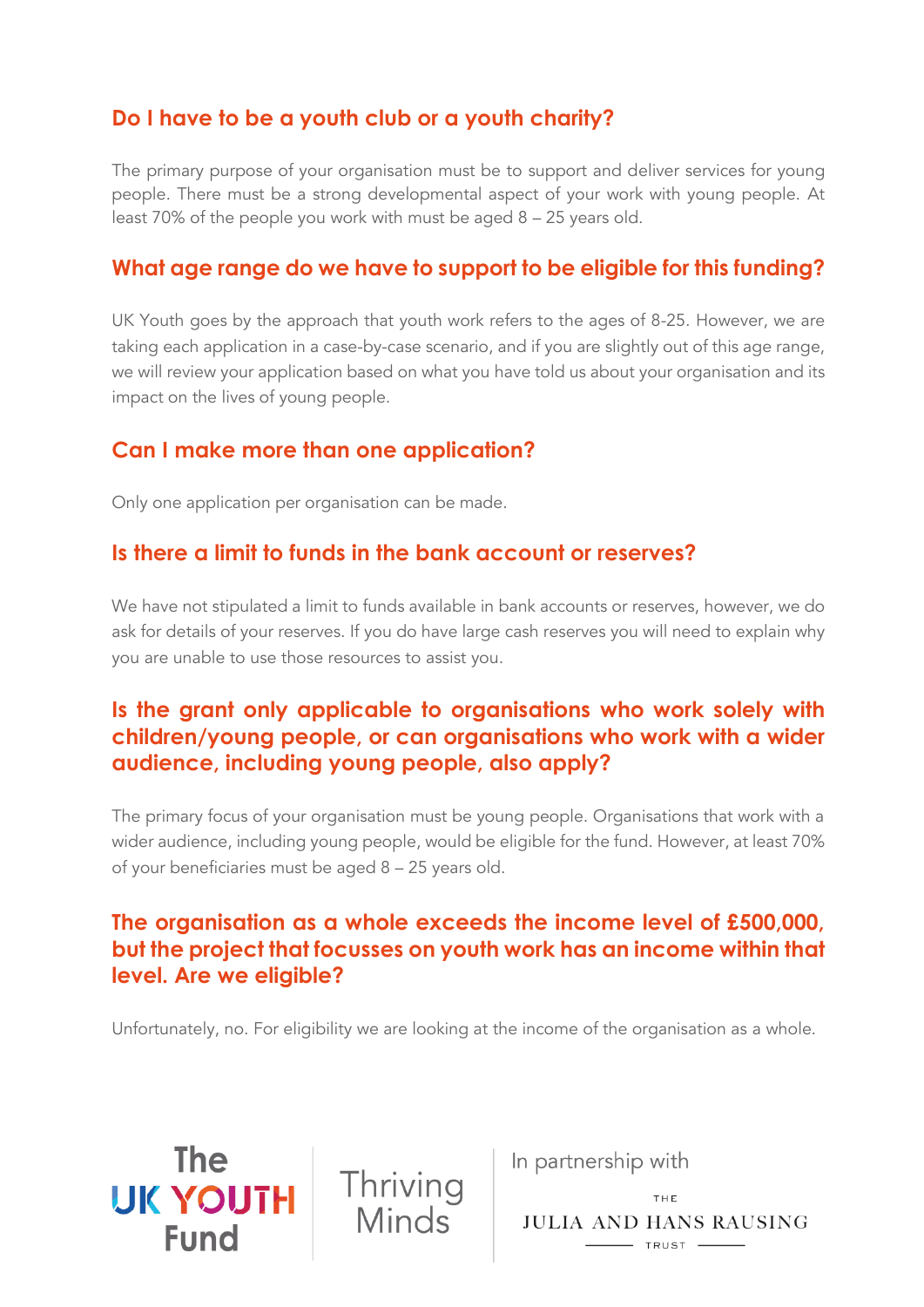## <span id="page-8-0"></span>**Do I have to be a youth club or a youth charity?**

The primary purpose of your organisation must be to support and deliver services for young people. There must be a strong developmental aspect of your work with young people. At least 70% of the people you work with must be aged 8 – 25 years old.

#### <span id="page-8-1"></span>**What age range do we have to support to be eligible for this funding?**

UK Youth goes by the approach that youth work refers to the ages of 8-25. However, we are taking each application in a case-by-case scenario, and if you are slightly out of this age range, we will review your application based on what you have told us about your organisation and its impact on the lives of young people.

## <span id="page-8-2"></span>**Can I make more than one application?**

Only one application per organisation can be made.

#### <span id="page-8-3"></span>**Is there a limit to funds in the bank account or reserves?**

We have not stipulated a limit to funds available in bank accounts or reserves, however, we do ask for details of your reserves. If you do have large cash reserves you will need to explain why you are unable to use those resources to assist you.

## <span id="page-8-4"></span>**Is the grant only applicable to organisations who work solely with children/young people, or can organisations who work with a wider audience, including young people, also apply?**

The primary focus of your organisation must be young people. Organisations that work with a wider audience, including young people, would be eligible for the fund. However, at least 70% of your beneficiaries must be aged 8 – 25 years old.

## <span id="page-8-5"></span>**The organisation as a whole exceeds the income level of £500,000, but the project that focusses on youth work has an income within that level. Are we eligible?**

Unfortunately, no. For eligibility we are looking at the income of the organisation as a whole.

**The UK YOUTH Fund** 



In partnership with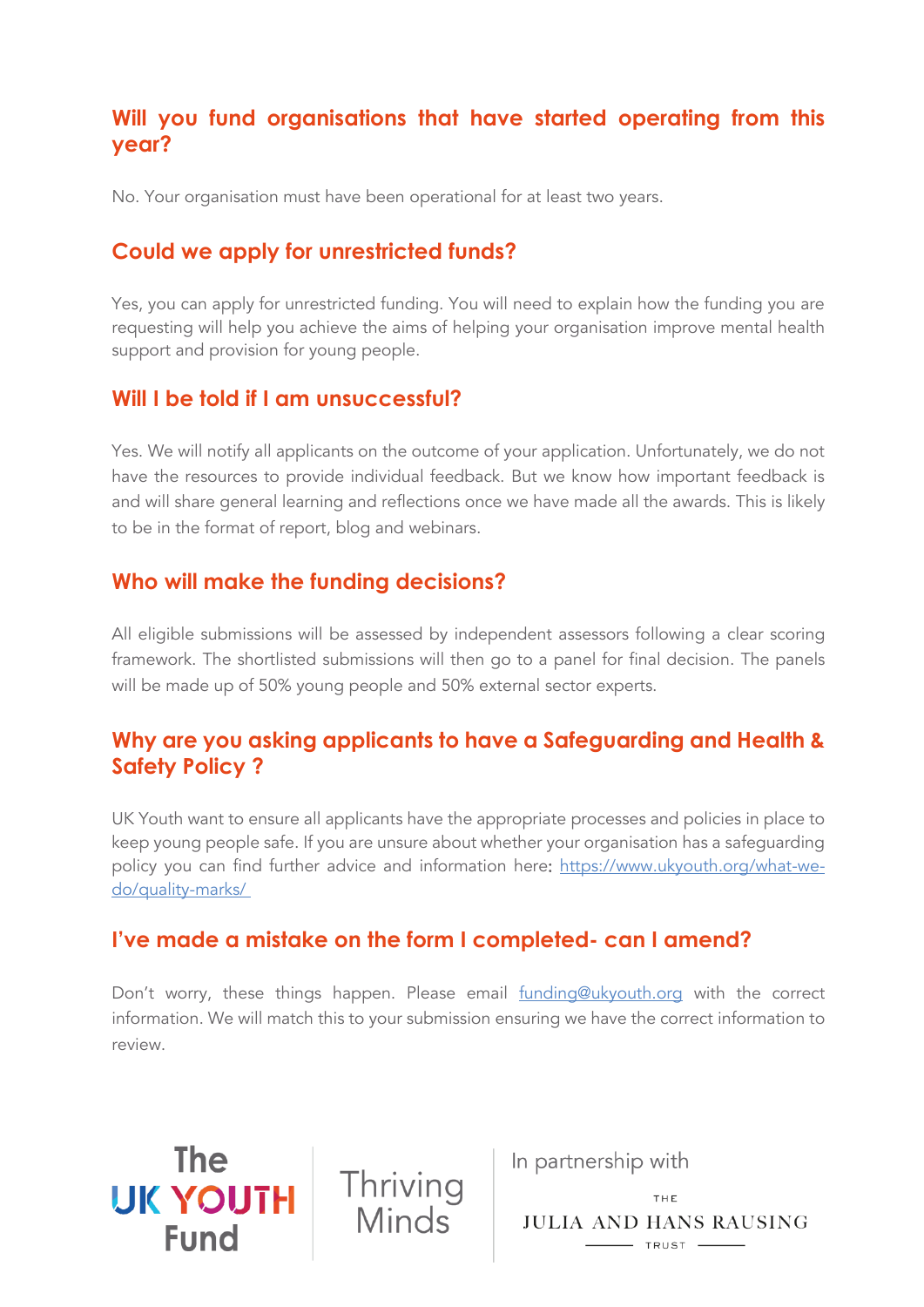## <span id="page-9-0"></span>**Will you fund organisations that have started operating from this year?**

<span id="page-9-1"></span>No. Your organisation must have been operational for at least two years.

## **Could we apply for unrestricted funds?**

Yes, you can apply for unrestricted funding. You will need to explain how the funding you are requesting will help you achieve the aims of helping your organisation improve mental health support and provision for young people.

#### <span id="page-9-2"></span>**Will I be told if I am unsuccessful?**

Yes. We will notify all applicants on the outcome of your application. Unfortunately, we do not have the resources to provide individual feedback. But we know how important feedback is and will share general learning and reflections once we have made all the awards. This is likely to be in the format of report, blog and webinars.

#### <span id="page-9-3"></span>**Who will make the funding decisions?**

**The** 

UK YOUTH

**Fund** 

All eligible submissions will be assessed by independent assessors following a clear scoring framework. The shortlisted submissions will then go to a panel for final decision. The panels will be made up of 50% young people and 50% external sector experts.

## <span id="page-9-4"></span>**Why are you asking applicants to have a Safeguarding and Health & Safety Policy ?**

UK Youth want to ensure all applicants have the appropriate processes and policies in place to keep young people safe. If you are unsure about whether your organisation has a safeguarding policy you can find further advice and information here: [https://www.ukyouth.org/what-we](https://www.ukyouth.org/what-we-do/quality-marks/)[do/quality-marks/](https://www.ukyouth.org/what-we-do/quality-marks/)

## <span id="page-9-5"></span>**I've made a mistake on the form I completed- can I amend?**

Thriving<br>Minds

Don't worry, these things happen. Please email [funding@ukyouth.org](mailto:funding@ukyouth.org) with the correct information. We will match this to your submission ensuring we have the correct information to review.

In partnership with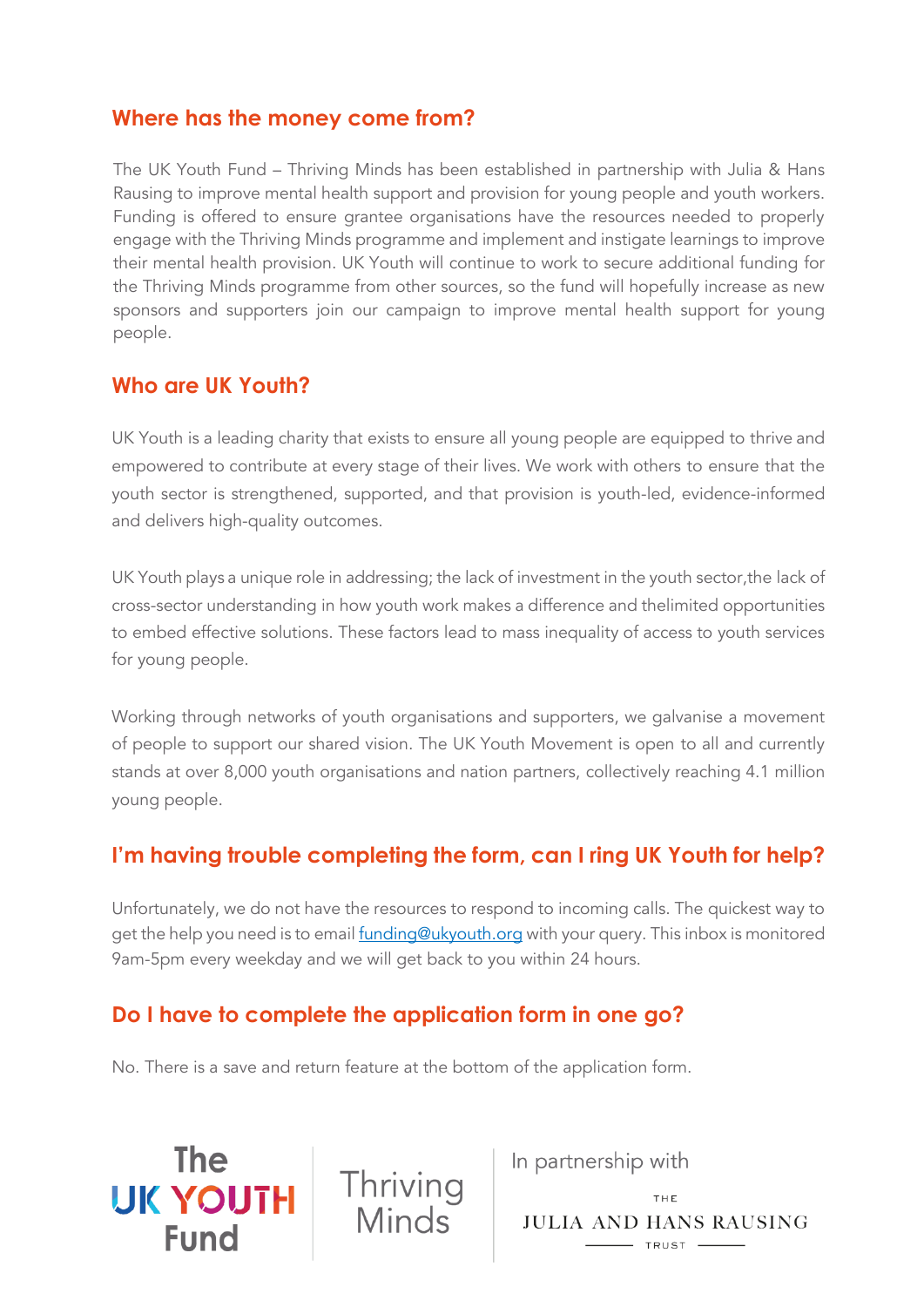## <span id="page-10-0"></span>**Where has the money come from?**

The UK Youth Fund – Thriving Minds has been established in partnership with Julia & Hans Rausing to improve mental health support and provision for young people and youth workers. Funding is offered to ensure grantee organisations have the resources needed to properly engage with the Thriving Minds programme and implement and instigate learnings to improve their mental health provision. UK Youth will continue to work to secure additional funding for the Thriving Minds programme from other sources, so the fund will hopefully increase as new sponsors and supporters join our campaign to improve mental health support for young people.

#### <span id="page-10-1"></span>**Who are UK Youth?**

**The** 

**UK YOUTH** 

**Fund** 

UK Youth is a leading charity that exists to ensure all young people are equipped to thrive and empowered to contribute at every stage of their lives. We work with others to ensure that the youth sector is strengthened, supported, and that provision is youth-led, evidence-informed and delivers high-quality outcomes.

UK Youth plays a unique role in addressing; the lack of investment in the youth sector,the lack of cross-sector understanding in how youth work makes a difference and thelimited opportunities to embed effective solutions. These factors lead to mass inequality of access to youth services for young people.

Working through networks of youth organisations and supporters, we galvanise a movement of people to support our shared vision. The UK Youth Movement is open to all and currently stands at over 8,000 youth organisations and nation partners, collectively reaching 4.1 million young people.

## <span id="page-10-2"></span>**I'm having trouble completing the form, can I ring UK Youth for help?**

Unfortunately, we do not have the resources to respond to incoming calls. The quickest way to get the help you need is to emai[l funding@ukyouth.org](mailto:grants@ukyouth.org) with your query. This inbox is monitored 9am-5pm every weekday and we will get back to you within 24 hours.

## <span id="page-10-3"></span>**Do I have to complete the application form in one go?**

No. There is a save and return feature at the bottom of the application form.

Thriving<br>Minds

In partnership with

THE JULIA AND HANS RAUSING  $\overline{\phantom{0}}$  TRUST  $\overline{\phantom{0}}$